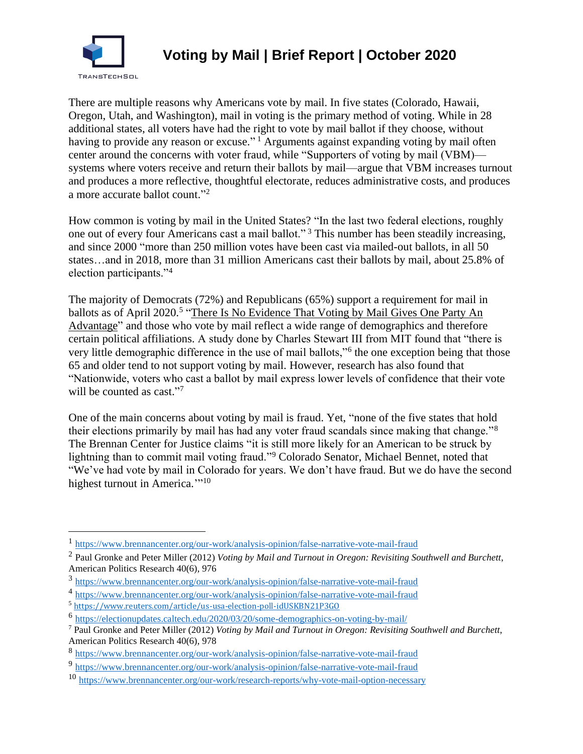

## **Voting by Mail | Brief Report | October 2020**

There are multiple reasons why Americans vote by mail. In five states (Colorado, Hawaii, Oregon, Utah, and Washington), mail in voting is the primary method of voting. While in 28 additional states, all voters have had the right to vote by mail ballot if they choose, without having to provide any reason or excuse."<sup>1</sup> Arguments against expanding voting by mail often center around the concerns with voter fraud, while "Supporters of voting by mail (VBM) systems where voters receive and return their ballots by mail—argue that VBM increases turnout and produces a more reflective, thoughtful electorate, reduces administrative costs, and produces a more accurate ballot count."<sup>2</sup>

How common is voting by mail in the United States? "In the last two federal elections, roughly one out of every four Americans cast a mail ballot." <sup>3</sup> This number has been steadily increasing, and since 2000 "more than 250 million votes have been cast via mailed-out ballots, in all 50 states…and in 2018, more than 31 million Americans cast their ballots by mail, about 25.8% of election participants."<sup>4</sup>

The majority of Democrats (72%) and Republicans (65%) support a requirement for mail in ballots as of April 2020.<sup>5</sup> "There Is No Evidence That Voting by Mail Gives One Party An [Advantage"](https://fivethirtyeight.com/features/there-is-no-evidence-that-voting-by-mail-gives-one-party-an-advantage/?campaign_id=9&emc=edit_nn_20200814&instance_id=21272&nl=the-morning®i_id=123749546§ion_index=1§ion_name=big_story&segment_id=36101&te=1&user_id=3d1c5ffd4a8b53cd95c157c2b0662a64) and those who vote by mail reflect a wide range of demographics and therefore certain political affiliations. A study done by Charles Stewart III from MIT found that "there is very little demographic difference in the use of mail ballots,"<sup>6</sup> the one exception being that those 65 and older tend to not support voting by mail. However, research has also found that "Nationwide, voters who cast a ballot by mail express lower levels of confidence that their vote will be counted as cast."7

One of the main concerns about voting by mail is fraud. Yet, "none of the five states that hold their elections primarily by mail has had any voter fraud scandals since making that change."<sup>8</sup> The Brennan Center for Justice claims "it is still more likely for an American to be struck by lightning than to commit mail voting fraud."<sup>9</sup> Colorado Senator, Michael Bennet, noted that "We've had vote by mail in Colorado for years. We don't have fraud. But we do have the second highest turnout in America."<sup>10</sup>

<sup>5</sup> <https://www.reuters.com/article/us-usa-election-poll-idUSKBN21P3GO>

<sup>&</sup>lt;sup>1</sup> <https://www.brennancenter.org/our-work/analysis-opinion/false-narrative-vote-mail-fraud>

<sup>2</sup> Paul Gronke and Peter Miller (2012) *Voting by Mail and Turnout in Oregon: Revisiting Southwell and Burchett*, American Politics Research 40(6), 976

<sup>3</sup> <https://www.brennancenter.org/our-work/analysis-opinion/false-narrative-vote-mail-fraud>

<sup>&</sup>lt;sup>4</sup> <https://www.brennancenter.org/our-work/analysis-opinion/false-narrative-vote-mail-fraud>

<sup>&</sup>lt;sup>6</sup> <https://electionupdates.caltech.edu/2020/03/20/some-demographics-on-voting-by-mail/>

<sup>7</sup> Paul Gronke and Peter Miller (2012) *Voting by Mail and Turnout in Oregon: Revisiting Southwell and Burchett*, American Politics Research 40(6), 978

<sup>8</sup> <https://www.brennancenter.org/our-work/analysis-opinion/false-narrative-vote-mail-fraud>

<sup>9</sup> <https://www.brennancenter.org/our-work/analysis-opinion/false-narrative-vote-mail-fraud>

<sup>10</sup> <https://www.brennancenter.org/our-work/research-reports/why-vote-mail-option-necessary>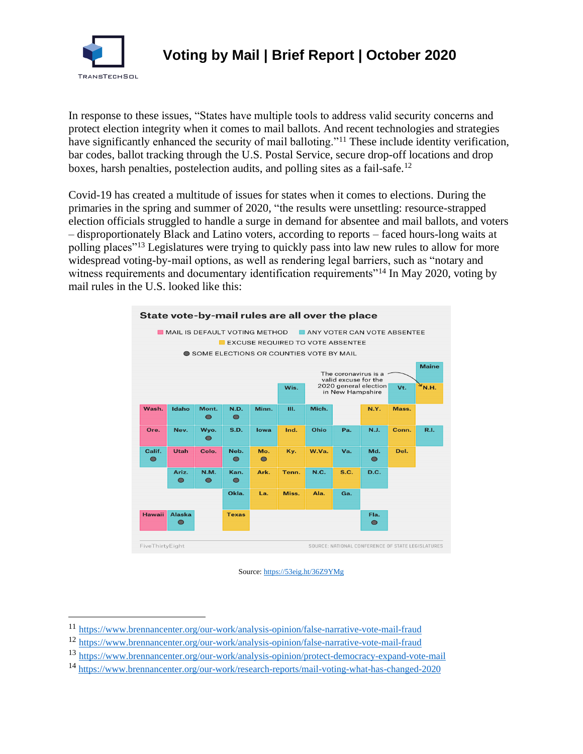

In response to these issues, "States have multiple tools to address valid security concerns and protect election integrity when it comes to mail ballots. And recent technologies and strategies have significantly enhanced the security of mail balloting."<sup>11</sup> These include identity verification, bar codes, ballot tracking through the U.S. Postal Service, secure drop-off locations and drop boxes, harsh penalties, postelection audits, and polling sites as a fail-safe. 12

Covid-19 has created a multitude of issues for states when it comes to elections. During the primaries in the spring and summer of 2020, "the results were unsettling: resource-strapped election officials struggled to handle a surge in demand for absentee and mail ballots, and voters – disproportionately Black and Latino voters, according to reports – faced hours-long waits at polling places"<sup>13</sup> Legislatures were trying to quickly pass into law new rules to allow for more widespread voting-by-mail options, as well as rendering legal barriers, such as "notary and witness requirements and documentary identification requirements<sup>"14</sup> In May 2020, voting by mail rules in the U.S. looked like this:





<sup>11</sup> <https://www.brennancenter.org/our-work/analysis-opinion/false-narrative-vote-mail-fraud>

<sup>12</sup> <https://www.brennancenter.org/our-work/analysis-opinion/false-narrative-vote-mail-fraud>

<sup>13</sup> <https://www.brennancenter.org/our-work/analysis-opinion/protect-democracy-expand-vote-mail>

<sup>14</sup> <https://www.brennancenter.org/our-work/research-reports/mail-voting-what-has-changed-2020>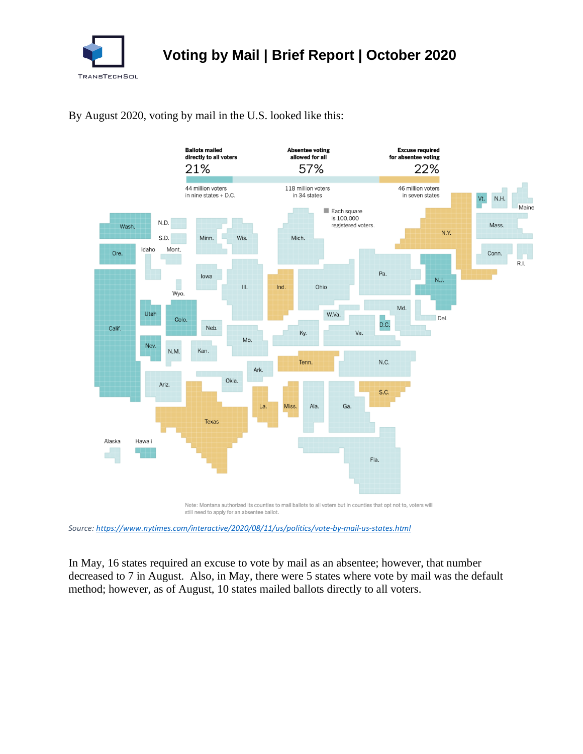

By August 2020, voting by mail in the U.S. looked like this:



*Source:<https://www.nytimes.com/interactive/2020/08/11/us/politics/vote-by-mail-us-states.html>*

In May, 16 states required an excuse to vote by mail as an absentee; however, that number decreased to 7 in August. Also, in May, there were 5 states where vote by mail was the default method; however, as of August, 10 states mailed ballots directly to all voters.